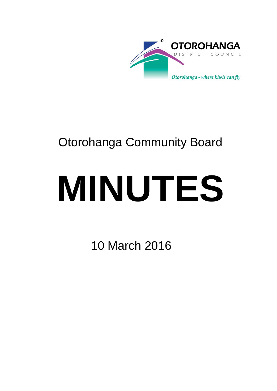

# Otorohanga Community Board

# **MINUTES**

10 March 2016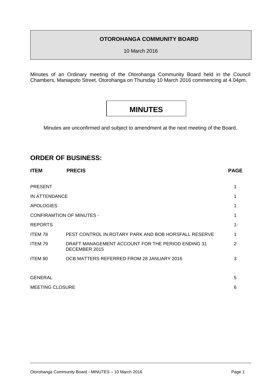### **OTOROHANGA COMMUNITY BOARD**

10 March 2016

Minutes of an Ordinary meeting of the Otorohanga Community Board held in the Council Chambers, Maniapoto Street, Otorohanga on Thursday 10 March 2016 commencing at 4.04pm.

# **MINUTES**

Minutes are unconfirmed and subject to amendment at the next meeting of the Board.

## **ORDER OF BUSINESS:**

| <b>ITEM</b>                      | <b>PRECIS</b>                                                      | <b>PAGE</b> |
|----------------------------------|--------------------------------------------------------------------|-------------|
| <b>PRESENT</b>                   |                                                                    | 1           |
| IN ATTENDANCE                    |                                                                    |             |
| <b>APOLOGIES</b>                 |                                                                    |             |
| <b>CONFIRAMTION OF MINUTES -</b> |                                                                    |             |
| <b>REPORTS</b>                   |                                                                    | 1-          |
| ITEM 78                          | PEST CONTROL IN ROTARY PARK AND BOB HORSFALL RESERVE               |             |
| ITEM 79                          | DRAFT MANAGEMENT ACCOUNT FOR THE PERIOD ENDING 31<br>DECEMBER 2015 | 2           |
| ITEM 80                          | OCB MATTERS REFERRED FROM 28 JANUARY 2016                          | 3           |
|                                  |                                                                    |             |
| <b>GENERAL</b>                   |                                                                    | 5           |
| <b>MEETING CLOSURE</b>           |                                                                    | 6           |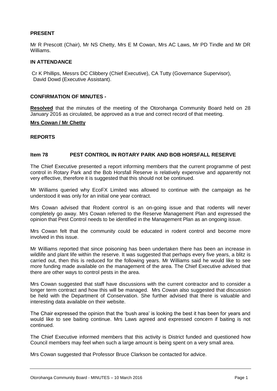#### **PRESENT**

Mr R Prescott (Chair), Mr NS Chetty, Mrs E M Cowan, Mrs AC Laws, Mr PD Tindle and Mr DR Williams.

#### **IN ATTENDANCE**

Cr K Phillips, Messrs DC Clibbery (Chief Executive), CA Tutty (Governance Supervisor), David Dowd (Executive Assistant).

#### **CONFIRMATION OF MINUTES -**

**Resolved** that the minutes of the meeting of the Otorohanga Community Board held on 28 January 2016 as circulated, be approved as a true and correct record of that meeting.

#### **Mrs Cowan / Mr Chetty**

#### **REPORTS**

#### **Item 78 PEST CONTROL IN ROTARY PARK AND BOB HORSFALL RESERVE**

The Chief Executive presented a report informing members that the current programme of pest control in Rotary Park and the Bob Horsfall Reserve is relatively expensive and apparently not very effective, therefore it is suggested that this should not be continued.

Mr Williams queried why EcoFX Limited was allowed to continue with the campaign as he understood it was only for an initial one year contract.

Mrs Cowan advised that Rodent control is an on-going issue and that rodents will never completely go away. Mrs Cowan referred to the Reserve Management Plan and expressed the opinion that Pest Control needs to be identified in the Management Plan as an ongoing issue.

Mrs Cowan felt that the community could be educated in rodent control and become more involved in this issue.

Mr Williams reported that since poisoning has been undertaken there has been an increase in wildlife and plant life within the reserve. It was suggested that perhaps every five years, a blitz is carried out, then this is reduced for the following years. Mr Williams said he would like to see more funding made available on the management of the area. The Chief Executive advised that there are other ways to control pests in the area.

Mrs Cowan suggested that staff have discussions with the current contractor and to consider a longer term contract and how this will be managed. Mrs Cowan also suggested that discussion be held with the Department of Conservation. She further advised that there is valuable and interesting data available on their website.

The Chair expressed the opinion that the 'bush area' is looking the best it has been for years and would like to see baiting continue. Mrs Laws agreed and expressed concern if baiting is not continued.

The Chief Executive informed members that this activity is District funded and questioned how Council members may feel when such a large amount is being spent on a very small area.

Mrs Cowan suggested that Professor Bruce Clarkson be contacted for advice.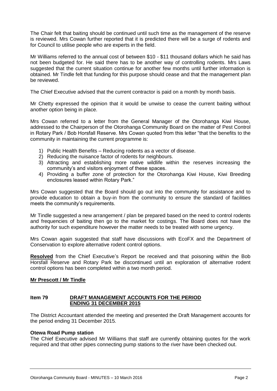The Chair felt that baiting should be continued until such time as the management of the reserve is reviewed. Mrs Cowan further reported that it is predicted there will be a surge of rodents and for Council to utilise people who are experts in the field.

Mr Williams referred to the annual cost of between \$10 - \$11 thousand dollars which he said has not been budgeted for. He said there has to be another way of controlling rodents. Mrs Laws suggested that the current situation continue for another few months until further information is obtained. Mr Tindle felt that funding for this purpose should cease and that the management plan be reviewed.

The Chief Executive advised that the current contractor is paid on a month by month basis.

Mr Chetty expressed the opinion that it would be unwise to cease the current baiting without another option being in place.

Mrs Cowan referred to a letter from the General Manager of the Otorohanga Kiwi House, addressed to the Chairperson of the Otorohanga Community Board on the matter of Pest Control in Rotary Park / Bob Horsfall Reserve. Mrs Cowan quoted from this letter "that the benefits to the community in maintaining the current programme is:

- 1) Public Health Benefits Reducing rodents as a vector of disease.
- 2) Reducing the nuisance factor of rodents for neighbours.
- 3) Attracting and establishing more native wildlife within the reserves increasing the community's and visitors enjoyment of these spaces.
- 4) Providing a buffer zone of protection for the Otorohanga Kiwi House, Kiwi Breeding enclosures leased within Rotary Park."

Mrs Cowan suggested that the Board should go out into the community for assistance and to provide education to obtain a buy-in from the community to ensure the standard of facilities meets the community's requirements.

Mr Tindle suggested a new arrangement / plan be prepared based on the need to control rodents and frequencies of baiting then go to the market for costings. The Board does not have the authority for such expenditure however the matter needs to be treated with some urgency.

Mrs Cowan again suggested that staff have discussions with EcoFX and the Department of Conservation to explore alternative rodent control options.

**Resolved** from the Chief Executive's Report be received and that poisoning within the Bob Horsfall Reserve and Rotary Park be discontinued until an exploration of alternative rodent control options has been completed within a two month period.

#### **Mr Prescott / Mr Tindle**

#### **Item 79 DRAFT MANAGEMENT ACCOUNTS FOR THE PERIOD ENDING 31 DECEMBER 2015**

The District Accountant attended the meeting and presented the Draft Management accounts for the period ending 31 December 2015.

#### **Otewa Road Pump station**

The Chief Executive advised Mr Williams that staff are currently obtaining quotes for the work required and that other pipes connecting pump stations to the river have been checked out.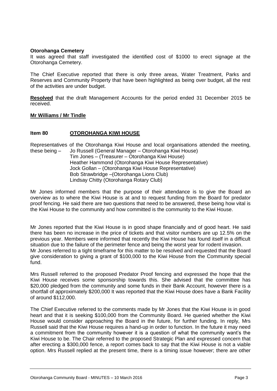#### **Otorohanga Cemetery**

It was agreed that staff investigated the identified cost of \$1000 to erect signage at the Otorohanga Cemetery.

The Chief Executive reported that there is only three areas, Water Treatment, Parks and Reserves and Community Property that have been highlighted as being over budget, all the rest of the activities are under budget.

**Resolved** that the draft Management Accounts for the period ended 31 December 2015 be received.

#### **Mr Williams / Mr Tindle**

#### **Item 80 OTOROHANGA KIWI HOUSE**

Representatives of the Otorohanga Kiwi House and local organisations attended the meeting, these being – Jo Russell (General Manager – Otorohanga Kiwi House)

Tim Jones – (Treasurer – Otorohanga Kiwi House) Heather Hammond (Otorohanga Kiwi House Representative) Jock Gollan – (Otorohanga Kiwi House Representative) Bob Strawbridge –(Otorohanga Lions Club) Lindsay Chitty (Otorohanga Rotary Club)

Mr Jones informed members that the purpose of their attendance is to give the Board an overview as to where the Kiwi House is at and to request funding from the Board for predator proof fencing. He said there are two questions that need to be answered, these being how vital is the Kiwi House to the community and how committed is the community to the Kiwi House.

Mr Jones reported that the Kiwi House is in good shape financially and of good heart. He said there has been no increase in the price of tickets and that visitor numbers are up 12.5% on the previous year. Members were informed that recently the Kiwi House has found itself in a difficult situation due to the failure of the perimeter fence and being the worst year for rodent invasion. Mr Jones referred to a tight timeframe for this matter to be resolved and requested that the Board give consideration to giving a grant of \$100,000 to the Kiwi House from the Community special fund.

Mrs Russell referred to the proposed Predator Proof fencing and expressed the hope that the Kiwi House receives some sponsorship towards this. She advised that the committee has \$20,000 pledged from the community and some funds in their Bank Account, however there is a shortfall of approximately \$200,000 It was reported that the Kiwi House does have a Bank Facility of around \$112,000.

The Chief Executive referred to the comments made by Mr Jones that the Kiwi House is in good heart and that it is seeking \$100,000 from the Community Board. He queried whether the Kiwi House would consider approaching the Board in the future, for further funding. In reply, Mrs Russell said that the Kiwi House requires a hand-up in order to function. In the future it may need a commitment from the community however it is a question of what the community want's the Kiwi House to be. The Chair referred to the proposed Strategic Plan and expressed concern that after erecting a \$300,000 fence, a report comes back to say that the Kiwi House is not a viable option. Mrs Russell replied at the present time, there is a timing issue however; there are other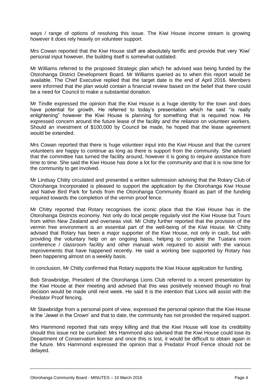ways / range of options of resolving this issue. The Kiwi House income stream is growing however it does rely heavily on volunteer support.

Mrs Cowan reported that the Kiwi House staff are absolutely terrific and provide that very 'Kiwi' personal input however, the building itself is somewhat outdated.

Mr Williams referred to the proposed Strategic plan which he advised was being funded by the Otorohanga District Development Board. Mr Williams queried as to when this report would be available. The Chief Executive replied that the target date is the end of April 2016. Members were informed that the plan would contain a financial review based on the belief that there could be a need for Council to make a substantial donation.

Mr Tindle expressed the opinion that the Kiwi House is a huge identity for the town and does have potential for growth. He referred to today's presentation which he said "is really enlightening" however the Kiwi House is planning for something that is required now. He expressed concern around the future lease of the facility and the reliance on volunteer workers. Should an investment of \$100,000 by Council be made, he hoped that the lease agreement would be extended.

Mrs Cowan reported that there is huge volunteer input into the Kiwi House and that the current volunteers are happy to continue as long as there is support from the community. She advised that the committee has turned the facility around, however it is going to require assistance from time to time. She said the Kiwi House has done a lot for the community and that it is now time for the community to get involved.

Mr Lindsay Chitty circulated and presented a written submission advising that the Rotary Club of Otorohanga Incorporated is pleased to support the application by the Otorohanga Kiwi House and Native Bird Park for funds from the Otorohanga Community Board as part of the funding required towards the completion of the vermin proof fence.

Mr Chitty reported that Rotary recognises the iconic place that the Kiwi House has in the Otorohanga Districts economy. Not only do local people regularly visit the Kiwi House but Tours from within New Zealand and overseas visit. Mr Chitty further reported that the provision of the vermin free environment is an essential part of the well-being of the Kiwi House. Mr Chitty advised that Rotary has been a major supporter of the Kiwi House, not only in cash, but with providing the voluntary help on an ongoing basis, helping to complete the Tuatara room conference / classroom facility and other manual work required to assist with the various improvements that have happened recently. He said a working bee supported by Rotary has been happening almost on a weekly basis.

In conclusion, Mr Chitty confirmed that Rotary supports the Kiwi House application for funding.

Bob Strawbridge, President of the Otorohanga Lions Club referred to a recent presentation by the Kiwi House at their meeting and advised that this was positively received though no final decision would be made until next week. He said It is the intention that Lions will assist with the Predator Proof fencing.

Mr Stawbridge from a personal point of view, expressed the personal opinion that the Kiwi House is the 'Jewel in the Crown' and that to date, the community has not provided the required support.

Mrs Hammond reported that rats enjoy killing and that the Kiwi House will lose its credibility should this issue not be curtailed: Mrs Hammond also advised that the Kiwi House could lose its Department of Conservation license and once this is lost, it would be difficult to obtain again in the future. Mrs Hammond expressed the opinion that a Predator Proof Fence should not be delayed.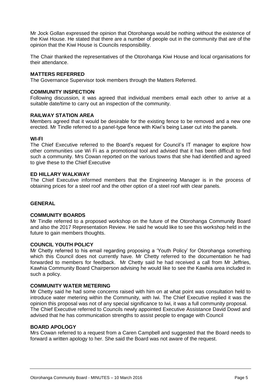Mr Jock Gollan expressed the opinion that Otorohanga would be nothing without the existence of the Kiwi House. He stated that there are a number of people out in the community that are of the opinion that the Kiwi House is Councils responsibility.

The Chair thanked the representatives of the Otorohanga Kiwi House and local organisations for their attendance.

#### **MATTERS REFERRED**

The Governance Supervisor took members through the Matters Referred.

#### **COMMUNITY INSPECTION**

Following discussion, it was agreed that individual members email each other to arrive at a suitable date/time to carry out an inspection of the community.

#### **RAILWAY STATION AREA**

Members agreed that it would be desirable for the existing fence to be removed and a new one erected. Mr Tindle referred to a panel-type fence with Kiwi's being Laser cut into the panels.

#### **WI-FI**

The Chief Executive referred to the Board's request for Council's IT manager to explore how other communities use Wi Fi as a promotional tool and advised that it has been difficult to find such a community. Mrs Cowan reported on the various towns that she had identified and agreed to give these to the Chief Executive

#### **ED HILLARY WALKWAY**

The Chief Executive informed members that the Engineering Manager is in the process of obtaining prices for a steel roof and the other option of a steel roof with clear panels.

#### **GENERAL**

#### **COMMUNITY BOARDS**

Mr Tindle referred to a proposed workshop on the future of the Otorohanga Community Board and also the 2017 Representation Review. He said he would like to see this workshop held in the future to gain members thoughts.

#### **COUNCIL YOUTH POLICY**

Mr Chetty referred to his email regarding proposing a 'Youth Policy' for Otorohanga something which this Council does not currently have. Mr Chetty referred to the documentation he had forwarded to members for feedback. Mr Chetty said he had received a call from Mr Jeffries, Kawhia Community Board Chairperson advising he would like to see the Kawhia area included in such a policy.

#### **COMMUNITY WATER METERING**

Mr Chetty said he had some concerns raised with him on at what point was consultation held to introduce water metering within the Community, with Iwi. The Chief Executive replied it was the opinion this proposal was not of any special significance to Iwi, it was a full community proposal. The Chief Executive referred to Councils newly appointed Executive Assistance David Dowd and advised that he has communication strengths to assist people to engage with Council

#### **BOARD APOLOGY**

Mrs Cowan referred to a request from a Caren Campbell and suggested that the Board needs to forward a written apology to her. She said the Board was not aware of the request.